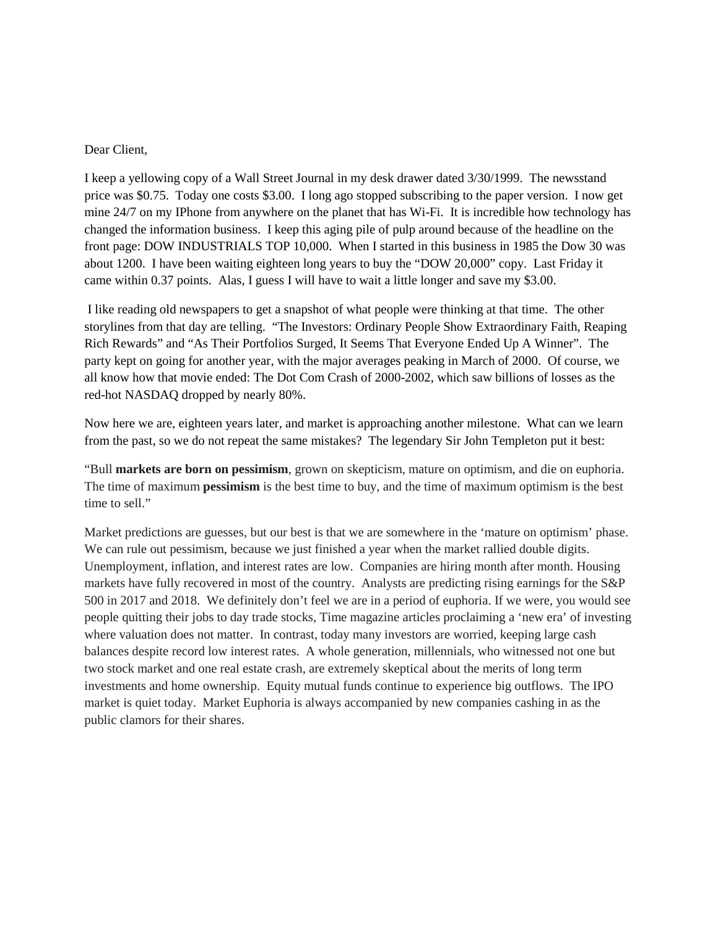## Dear Client,

I keep a yellowing copy of a Wall Street Journal in my desk drawer dated 3/30/1999. The newsstand price was \$0.75. Today one costs \$3.00. I long ago stopped subscribing to the paper version. I now get mine 24/7 on my IPhone from anywhere on the planet that has Wi-Fi. It is incredible how technology has changed the information business. I keep this aging pile of pulp around because of the headline on the front page: DOW INDUSTRIALS TOP 10,000. When I started in this business in 1985 the Dow 30 was about 1200. I have been waiting eighteen long years to buy the "DOW 20,000" copy. Last Friday it came within 0.37 points. Alas, I guess I will have to wait a little longer and save my \$3.00.

I like reading old newspapers to get a snapshot of what people were thinking at that time. The other storylines from that day are telling. "The Investors: Ordinary People Show Extraordinary Faith, Reaping Rich Rewards" and "As Their Portfolios Surged, It Seems That Everyone Ended Up A Winner". The party kept on going for another year, with the major averages peaking in March of 2000. Of course, we all know how that movie ended: The Dot Com Crash of 2000-2002, which saw billions of losses as the red-hot NASDAQ dropped by nearly 80%.

Now here we are, eighteen years later, and market is approaching another milestone. What can we learn from the past, so we do not repeat the same mistakes? The legendary Sir John Templeton put it best:

"Bull **markets are born on pessimism**, grown on skepticism, mature on optimism, and die on euphoria. The time of maximum **pessimism** is the best time to buy, and the time of maximum optimism is the best time to sell."

Market predictions are guesses, but our best is that we are somewhere in the 'mature on optimism' phase. We can rule out pessimism, because we just finished a year when the market rallied double digits. Unemployment, inflation, and interest rates are low. Companies are hiring month after month. Housing markets have fully recovered in most of the country. Analysts are predicting rising earnings for the S&P 500 in 2017 and 2018. We definitely don't feel we are in a period of euphoria. If we were, you would see people quitting their jobs to day trade stocks, Time magazine articles proclaiming a 'new era' of investing where valuation does not matter. In contrast, today many investors are worried, keeping large cash balances despite record low interest rates. A whole generation, millennials, who witnessed not one but two stock market and one real estate crash, are extremely skeptical about the merits of long term investments and home ownership. Equity mutual funds continue to experience big outflows. The IPO market is quiet today. Market Euphoria is always accompanied by new companies cashing in as the public clamors for their shares.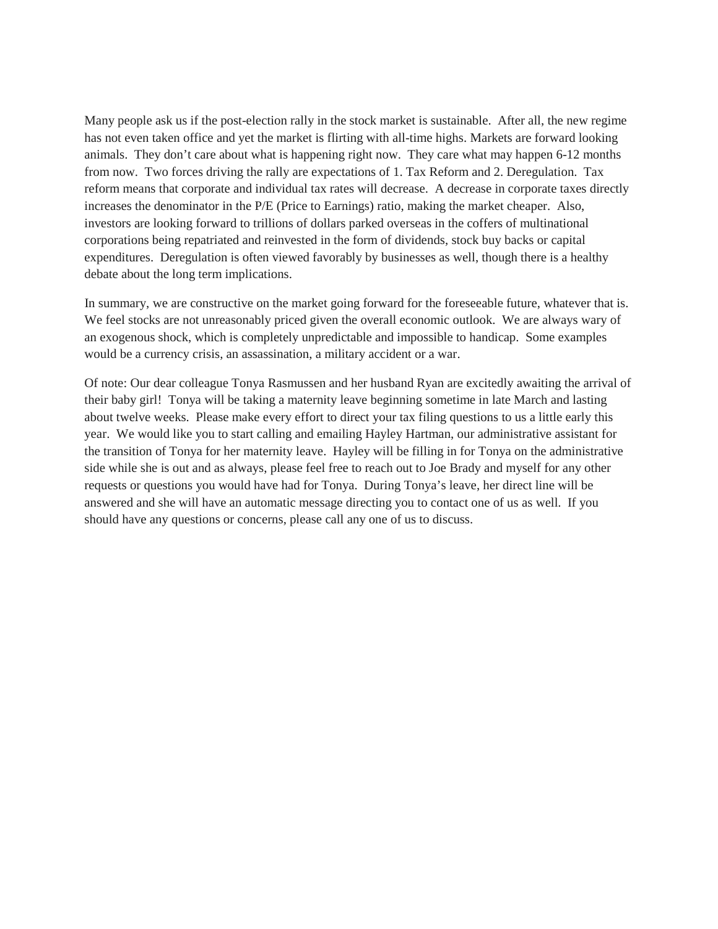Many people ask us if the post-election rally in the stock market is sustainable. After all, the new regime has not even taken office and yet the market is flirting with all-time highs. Markets are forward looking animals. They don't care about what is happening right now. They care what may happen 6-12 months from now. Two forces driving the rally are expectations of 1. Tax Reform and 2. Deregulation. Tax reform means that corporate and individual tax rates will decrease. A decrease in corporate taxes directly increases the denominator in the P/E (Price to Earnings) ratio, making the market cheaper. Also, investors are looking forward to trillions of dollars parked overseas in the coffers of multinational corporations being repatriated and reinvested in the form of dividends, stock buy backs or capital expenditures. Deregulation is often viewed favorably by businesses as well, though there is a healthy debate about the long term implications.

In summary, we are constructive on the market going forward for the foreseeable future, whatever that is. We feel stocks are not unreasonably priced given the overall economic outlook. We are always wary of an exogenous shock, which is completely unpredictable and impossible to handicap. Some examples would be a currency crisis, an assassination, a military accident or a war.

Of note: Our dear colleague Tonya Rasmussen and her husband Ryan are excitedly awaiting the arrival of their baby girl! Tonya will be taking a maternity leave beginning sometime in late March and lasting about twelve weeks. Please make every effort to direct your tax filing questions to us a little early this year. We would like you to start calling and emailing Hayley Hartman, our administrative assistant for the transition of Tonya for her maternity leave. Hayley will be filling in for Tonya on the administrative side while she is out and as always, please feel free to reach out to Joe Brady and myself for any other requests or questions you would have had for Tonya. During Tonya's leave, her direct line will be answered and she will have an automatic message directing you to contact one of us as well. If you should have any questions or concerns, please call any one of us to discuss.